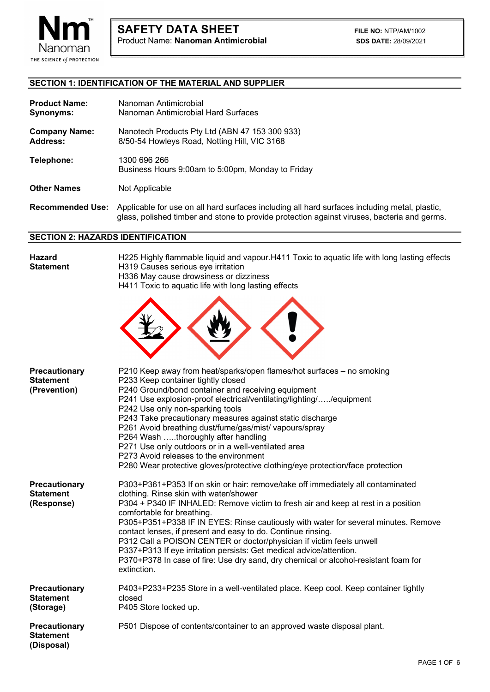

# **SECTION 1: IDENTIFICATION OF THE MATERIAL AND SUPPLIER**

L

| <b>Product Name:</b><br>Synonyms:       | Nanoman Antimicrobial<br>Nanoman Antimicrobial Hard Surfaces                                                                                                                                 |
|-----------------------------------------|----------------------------------------------------------------------------------------------------------------------------------------------------------------------------------------------|
| <b>Company Name:</b><br><b>Address:</b> | Nanotech Products Pty Ltd (ABN 47 153 300 933)<br>8/50-54 Howleys Road, Notting Hill, VIC 3168                                                                                               |
| Telephone:                              | 1300 696 266<br>Business Hours 9:00am to 5:00pm, Monday to Friday                                                                                                                            |
| <b>Other Names</b>                      | Not Applicable                                                                                                                                                                               |
| <b>Recommended Use:</b>                 | Applicable for use on all hard surfaces including all hard surfaces including metal, plastic,<br>glass, polished timber and stone to provide protection against viruses, bacteria and germs. |

#### **SECTION 2: HAZARDS IDENTIFICATION**

| <b>Hazard</b><br><b>Statement</b>                 | H225 Highly flammable liquid and vapour.H411 Toxic to aquatic life with long lasting effects<br>H319 Causes serious eye irritation<br>H336 May cause drowsiness or dizziness<br>H411 Toxic to aquatic life with long lasting effects                                                                                                                                                                                                                                                                                                                                                                                                                    |  |  |  |
|---------------------------------------------------|---------------------------------------------------------------------------------------------------------------------------------------------------------------------------------------------------------------------------------------------------------------------------------------------------------------------------------------------------------------------------------------------------------------------------------------------------------------------------------------------------------------------------------------------------------------------------------------------------------------------------------------------------------|--|--|--|
|                                                   |                                                                                                                                                                                                                                                                                                                                                                                                                                                                                                                                                                                                                                                         |  |  |  |
| Precautionary<br><b>Statement</b><br>(Prevention) | P210 Keep away from heat/sparks/open flames/hot surfaces - no smoking<br>P233 Keep container tightly closed<br>P240 Ground/bond container and receiving equipment<br>P241 Use explosion-proof electrical/ventilating/lighting//equipment<br>P242 Use only non-sparking tools<br>P243 Take precautionary measures against static discharge<br>P261 Avoid breathing dust/fume/gas/mist/ vapours/spray<br>P264 Wash thoroughly after handling<br>P271 Use only outdoors or in a well-ventilated area<br>P273 Avoid releases to the environment<br>P280 Wear protective gloves/protective clothing/eye protection/face protection                           |  |  |  |
| Precautionary<br><b>Statement</b><br>(Response)   | P303+P361+P353 If on skin or hair: remove/take off immediately all contaminated<br>clothing. Rinse skin with water/shower<br>P304 + P340 IF INHALED: Remove victim to fresh air and keep at rest in a position<br>comfortable for breathing.<br>P305+P351+P338 IF IN EYES: Rinse cautiously with water for several minutes. Remove<br>contact lenses, if present and easy to do. Continue rinsing.<br>P312 Call a POISON CENTER or doctor/physician if victim feels unwell<br>P337+P313 If eye irritation persists: Get medical advice/attention.<br>P370+P378 In case of fire: Use dry sand, dry chemical or alcohol-resistant foam for<br>extinction. |  |  |  |
| Precautionary<br><b>Statement</b><br>(Storage)    | P403+P233+P235 Store in a well-ventilated place. Keep cool. Keep container tightly<br>closed<br>P405 Store locked up.                                                                                                                                                                                                                                                                                                                                                                                                                                                                                                                                   |  |  |  |
| Precautionary<br><b>Statement</b><br>(Disposal)   | P501 Dispose of contents/container to an approved waste disposal plant.                                                                                                                                                                                                                                                                                                                                                                                                                                                                                                                                                                                 |  |  |  |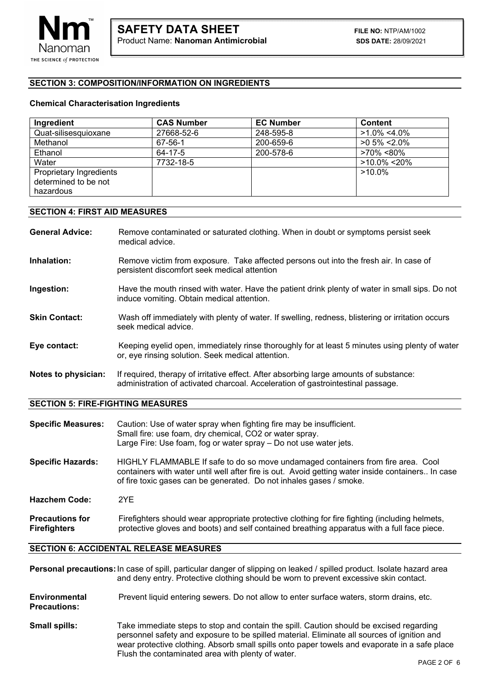# **SECTION 3: COMPOSITION/INFORMATION ON INGREDIENTS**

L

#### **Chemical Characterisation Ingredients**

| Ingredient              | <b>CAS Number</b> | <b>EC Number</b> | <b>Content</b>   |
|-------------------------|-------------------|------------------|------------------|
| Quat-silisesquioxane    | 27668-52-6        | 248-595-8        | $>1.0\% < 4.0\%$ |
| Methanol                | 67-56-1           | 200-659-6        | $>0.5\% < 2.0\%$ |
| Ethanol                 | 64-17-5           | 200-578-6        | >70% <80%        |
| Water                   | 7732-18-5         |                  | $>10.0\% < 20\%$ |
| Proprietary Ingredients |                   |                  | $>10.0\%$        |
| determined to be not    |                   |                  |                  |
| hazardous               |                   |                  |                  |

#### **SECTION 4: FIRST AID MEASURES**

**General Advice:** Remove contaminated or saturated clothing. When in doubt or symptoms persist seek medical advice.

- **Inhalation:** Remove victim from exposure. Take affected persons out into the fresh air. In case of persistent discomfort seek medical attention
- **Ingestion:** Have the mouth rinsed with water. Have the patient drink plenty of water in small sips. Do not induce vomiting. Obtain medical attention.
- **Skin Contact:** Wash off immediately with plenty of water. If swelling, redness, blistering or irritation occurs seek medical advice.
- **Eye contact:** Keeping eyelid open, immediately rinse thoroughly for at least 5 minutes using plenty of water or, eye rinsing solution. Seek medical attention.
- **Notes to physician:** If required, therapy of irritative effect. After absorbing large amounts of substance: administration of activated charcoal. Acceleration of gastrointestinal passage.

**SECTION 5: FIRE-FIGHTING MEASURES** 

| <b>Specific Measures:</b>                     | Caution: Use of water spray when fighting fire may be insufficient.<br>Small fire: use foam, dry chemical, CO2 or water spray.<br>Large Fire: Use foam, fog or water spray - Do not use water jets.                                                          |
|-----------------------------------------------|--------------------------------------------------------------------------------------------------------------------------------------------------------------------------------------------------------------------------------------------------------------|
| <b>Specific Hazards:</b>                      | HIGHLY FLAMMABLE If safe to do so move undamaged containers from fire area. Cool<br>containers with water until well after fire is out. Avoid getting water inside containers In case<br>of fire toxic gases can be generated. Do not inhales gases / smoke. |
| <b>Hazchem Code:</b>                          | 2YE                                                                                                                                                                                                                                                          |
| <b>Precautions for</b><br><b>Firefighters</b> | Firefighters should wear appropriate protective clothing for fire fighting (including helmets,<br>protective gloves and boots) and self contained breathing apparatus with a full face piece.                                                                |

#### **SECTION 6: ACCIDENTAL RELEASE MEASURES**

**Personal precautions:** In case of spill, particular danger of slipping on leaked / spilled product. Isolate hazard area and deny entry. Protective clothing should be worn to prevent excessive skin contact.

- **Environmental** Prevent liquid entering sewers. Do not allow to enter surface waters, storm drains, etc. **Precautions:**
- **Small spills:** Take immediate steps to stop and contain the spill. Caution should be excised regarding personnel safety and exposure to be spilled material. Eliminate all sources of ignition and wear protective clothing. Absorb small spills onto paper towels and evaporate in a safe place Flush the contaminated area with plenty of water.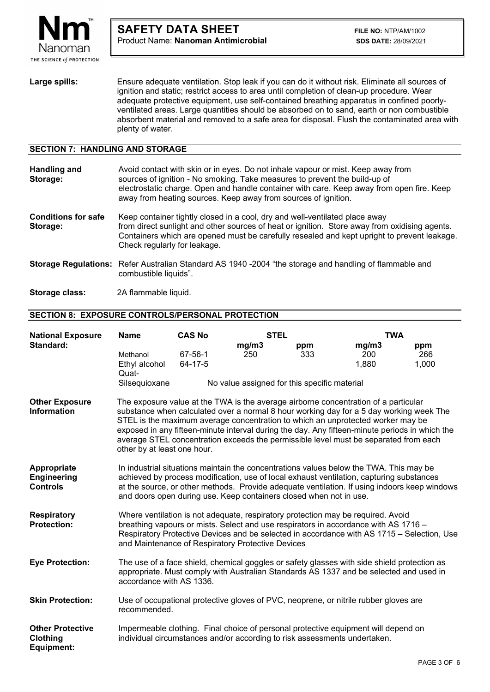

Large spills: Ensure adequate ventilation. Stop leak if you can do it without risk. Eliminate all sources of ignition and static; restrict access to area until completion of clean-up procedure. Wear adequate protective equipment, use self-contained breathing apparatus in confined poorlyventilated areas. Large quantities should be absorbed on to sand, earth or non combustible absorbent material and removed to a safe area for disposal. Flush the contaminated area with plenty of water.

## **SECTION 7: HANDLING AND STORAGE**

L

| <b>Handling and</b><br>Storage:        | Avoid contact with skin or in eyes. Do not inhale vapour or mist. Keep away from<br>sources of ignition - No smoking. Take measures to prevent the build-up of<br>electrostatic charge. Open and handle container with care. Keep away from open fire. Keep<br>away from heating sources. Keep away from sources of ignition. |
|----------------------------------------|-------------------------------------------------------------------------------------------------------------------------------------------------------------------------------------------------------------------------------------------------------------------------------------------------------------------------------|
| <b>Conditions for safe</b><br>Storage: | Keep container tightly closed in a cool, dry and well-ventilated place away<br>from direct sunlight and other sources of heat or ignition. Store away from oxidising agents.<br>Containers which are opened must be carefully resealed and kept upright to prevent leakage.<br>Check regularly for leakage.                   |
|                                        | Storage Regulations: Refer Australian Standard AS 1940 -2004 "the storage and handling of flammable and<br>combustible liquids".                                                                                                                                                                                              |

**Storage class:** 2A flammable liquid.

### **SECTION 8: EXPOSURE CONTROLS/PERSONAL PROTECTION**

| <b>National Exposure</b>                             | <b>Name</b>                                                                                                                                                                                                                                                                                                                                                                                                                                                                                | <b>CAS No</b>      | <b>STEL</b> |                                              | <b>TWA</b>                                                                                                                                                                            |              |
|------------------------------------------------------|--------------------------------------------------------------------------------------------------------------------------------------------------------------------------------------------------------------------------------------------------------------------------------------------------------------------------------------------------------------------------------------------------------------------------------------------------------------------------------------------|--------------------|-------------|----------------------------------------------|---------------------------------------------------------------------------------------------------------------------------------------------------------------------------------------|--------------|
| Standard:                                            |                                                                                                                                                                                                                                                                                                                                                                                                                                                                                            |                    | mg/m3       | ppm                                          | mg/m3                                                                                                                                                                                 | ppm          |
|                                                      | Methanol<br>Ethyl alcohol                                                                                                                                                                                                                                                                                                                                                                                                                                                                  | 67-56-1<br>64-17-5 | 250         | 333                                          | 200<br>1,880                                                                                                                                                                          | 266<br>1,000 |
|                                                      | Quat-                                                                                                                                                                                                                                                                                                                                                                                                                                                                                      |                    |             |                                              |                                                                                                                                                                                       |              |
|                                                      | Silsequioxane                                                                                                                                                                                                                                                                                                                                                                                                                                                                              |                    |             | No value assigned for this specific material |                                                                                                                                                                                       |              |
| <b>Other Exposure</b><br><b>Information</b>          | The exposure value at the TWA is the average airborne concentration of a particular<br>substance when calculated over a normal 8 hour working day for a 5 day working week The<br>STEL is the maximum average concentration to which an unprotected worker may be<br>exposed in any fifteen-minute interval during the day. Any fifteen-minute periods in which the<br>average STEL concentration exceeds the permissible level must be separated from each<br>other by at least one hour. |                    |             |                                              |                                                                                                                                                                                       |              |
| Appropriate<br><b>Engineering</b><br><b>Controls</b> | In industrial situations maintain the concentrations values below the TWA. This may be<br>achieved by process modification, use of local exhaust ventilation, capturing substances<br>at the source, or other methods. Provide adequate ventilation. If using indoors keep windows<br>and doors open during use. Keep containers closed when not in use.                                                                                                                                   |                    |             |                                              |                                                                                                                                                                                       |              |
| <b>Respiratory</b><br><b>Protection:</b>             | Where ventilation is not adequate, respiratory protection may be required. Avoid<br>breathing vapours or mists. Select and use respirators in accordance with AS 1716 -<br>Respiratory Protective Devices and be selected in accordance with AS 1715 - Selection, Use<br>and Maintenance of Respiratory Protective Devices                                                                                                                                                                 |                    |             |                                              |                                                                                                                                                                                       |              |
| <b>Eye Protection:</b>                               | accordance with AS 1336.                                                                                                                                                                                                                                                                                                                                                                                                                                                                   |                    |             |                                              | The use of a face shield, chemical goggles or safety glasses with side shield protection as<br>appropriate. Must comply with Australian Standards AS 1337 and be selected and used in |              |
| <b>Skin Protection:</b>                              | recommended.                                                                                                                                                                                                                                                                                                                                                                                                                                                                               |                    |             |                                              | Use of occupational protective gloves of PVC, neoprene, or nitrile rubber gloves are                                                                                                  |              |
| <b>Other Protective</b><br>Clothing<br>Equipment:    | individual circumstances and/or according to risk assessments undertaken.                                                                                                                                                                                                                                                                                                                                                                                                                  |                    |             |                                              | Impermeable clothing. Final choice of personal protective equipment will depend on                                                                                                    |              |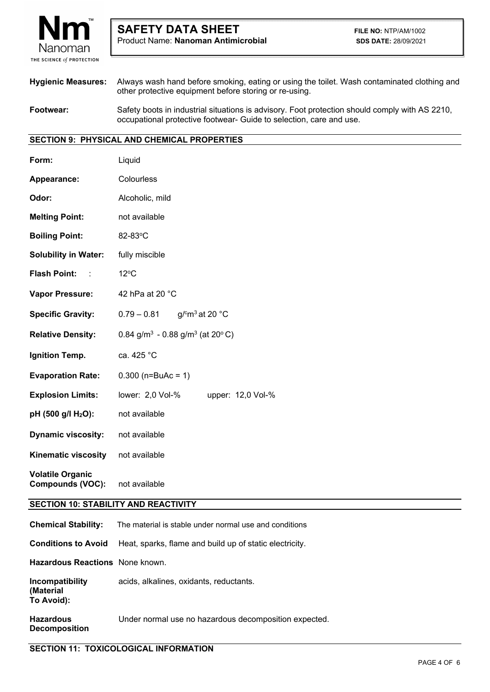

**Hygienic Measures:** Always wash hand before smoking, eating or using the toilet. Wash contaminated clothing and other protective equipment before storing or re-using. **Footwear:** Safety boots in industrial situations is advisory. Foot protection should comply with AS 2210,

occupational protective footwear- Guide to selection, care and use.

# **SECTION 9: PHYSICAL AND CHEMICAL PROPERTIES**

L

| Form:                                              | Liquid                                                  |  |  |  |
|----------------------------------------------------|---------------------------------------------------------|--|--|--|
| <b>Appearance:</b>                                 | Colourless                                              |  |  |  |
| Odor:                                              | Alcoholic, mild                                         |  |  |  |
| <b>Melting Point:</b>                              | not available                                           |  |  |  |
| <b>Boiling Point:</b>                              | 82-83°C                                                 |  |  |  |
| <b>Solubility in Water:</b>                        | fully miscible                                          |  |  |  |
| <b>Flash Point: : :</b>                            | $12^{\circ}$ C                                          |  |  |  |
| <b>Vapor Pressure:</b>                             | 42 hPa at 20 °C                                         |  |  |  |
| <b>Specific Gravity:</b>                           | $0.79 - 0.81$<br>g/ $\rm cm^3$ at 20 $\rm ^{\circ}C$    |  |  |  |
| <b>Relative Density:</b>                           | 0.84 g/m <sup>3</sup> - 0.88 g/m <sup>3</sup> (at 20°C) |  |  |  |
| Ignition Temp.                                     | ca. 425 °C                                              |  |  |  |
| <b>Evaporation Rate:</b>                           | $0.300$ (n=BuAc = 1)                                    |  |  |  |
| <b>Explosion Limits:</b>                           | lower: 2,0 Vol-%<br>upper: 12,0 Vol-%                   |  |  |  |
| pH (500 g/l H <sub>2</sub> O):                     | not available                                           |  |  |  |
| <b>Dynamic viscosity:</b>                          | not available                                           |  |  |  |
| <b>Kinematic viscosity</b>                         | not available                                           |  |  |  |
| <b>Volatile Organic</b><br><b>Compounds (VOC):</b> | not available                                           |  |  |  |
| <b>SECTION 10: STABILITY AND REACTIVITY</b>        |                                                         |  |  |  |
| <b>Chemical Stability:</b>                         | The material is stable under normal use and conditions  |  |  |  |
| <b>Conditions to Avoid</b>                         | Heat, sparks, flame and build up of static electricity. |  |  |  |
| Hazardous Reactions None known.                    |                                                         |  |  |  |
| <b>Incompatibility</b><br>(Material                | acids, alkalines, oxidants, reductants.                 |  |  |  |

**Hazardous** Under normal use no hazardous decomposition expected. **Decomposition** 

**To Avoid):**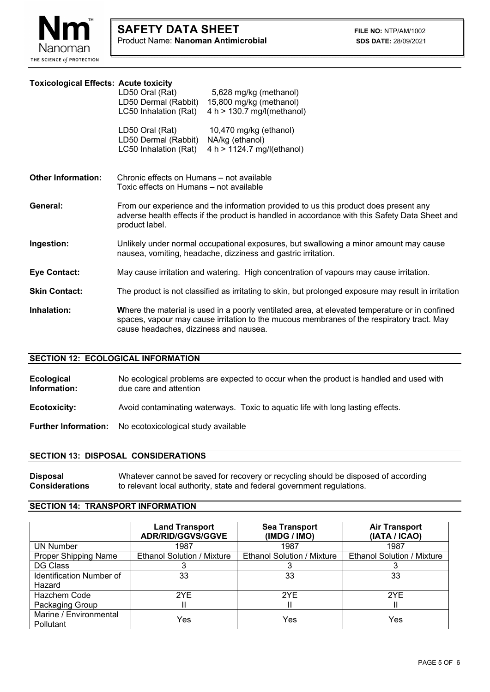

# **Toxicological Effects: Acute toxicity**

L

|                           | LD50 Oral (Rat)<br>5,628 mg/kg (methanol)<br>LD50 Dermal (Rabbit) 15,800 mg/kg (methanol)<br>LC50 Inhalation (Rat)<br>4 h > 130.7 mg/l(methanol)                                                                                      |  |  |
|---------------------------|---------------------------------------------------------------------------------------------------------------------------------------------------------------------------------------------------------------------------------------|--|--|
|                           | LD50 Oral (Rat)<br>10,470 mg/kg (ethanol)<br>LD50 Dermal (Rabbit)<br>NA/kg (ethanol)<br>LC50 Inhalation (Rat)<br>4 h > 1124.7 mg/(ethanol)                                                                                            |  |  |
| <b>Other Information:</b> | Chronic effects on Humans – not available<br>Toxic effects on Humans - not available                                                                                                                                                  |  |  |
| General:                  | From our experience and the information provided to us this product does present any<br>adverse health effects if the product is handled in accordance with this Safety Data Sheet and<br>product label.                              |  |  |
| Ingestion:                | Unlikely under normal occupational exposures, but swallowing a minor amount may cause<br>nausea, vomiting, headache, dizziness and gastric irritation.                                                                                |  |  |
| <b>Eye Contact:</b>       | May cause irritation and watering. High concentration of vapours may cause irritation.                                                                                                                                                |  |  |
| <b>Skin Contact:</b>      | The product is not classified as irritating to skin, but prolonged exposure may result in irritation                                                                                                                                  |  |  |
| Inhalation:               | Where the material is used in a poorly ventilated area, at elevated temperature or in confined<br>spaces, vapour may cause irritation to the mucous membranes of the respiratory tract. May<br>cause headaches, dizziness and nausea. |  |  |

## **SECTION 12: ECOLOGICAL INFORMATION**

**Ecological No ecological problems are expected to occur when the product is handled and used with <b>Information:** due care and attention **Information:** due care and attention **Ecotoxicity:** Avoid contaminating waterways. Toxic to aquatic life with long lasting effects.

**Further Information:** No ecotoxicological study available

## **SECTION 13: DISPOSAL CONSIDERATIONS**

**Disposal Whatever cannot be saved for recovery or recycling should be disposed of according Considerations to relevant local authority, state and federal government regulations.** to relevant local authority, state and federal government regulations.

#### **SECTION 14: TRANSPORT INFORMATION**

|                                            | <b>Land Transport</b><br><b>ADR/RID/GGVS/GGVE</b> | <b>Sea Transport</b><br>(IMDG / IMO) | <b>Air Transport</b><br>(IATA / ICAO) |
|--------------------------------------------|---------------------------------------------------|--------------------------------------|---------------------------------------|
| <b>UN Number</b>                           | 1987                                              | 1987                                 | 1987                                  |
| Proper Shipping Name                       | <b>Ethanol Solution / Mixture</b>                 | <b>Ethanol Solution / Mixture</b>    | <b>Ethanol Solution / Mixture</b>     |
| DG Class                                   |                                                   |                                      |                                       |
| <b>Identification Number of</b>            | 33                                                | 33                                   | 33                                    |
| Hazard                                     |                                                   |                                      |                                       |
| Hazchem Code                               | 2YE                                               | 2YE                                  | 2YE                                   |
| Packaging Group                            |                                                   |                                      |                                       |
| Marine / Environmental<br><b>Pollutant</b> | Yes                                               | Yes                                  | Yes                                   |